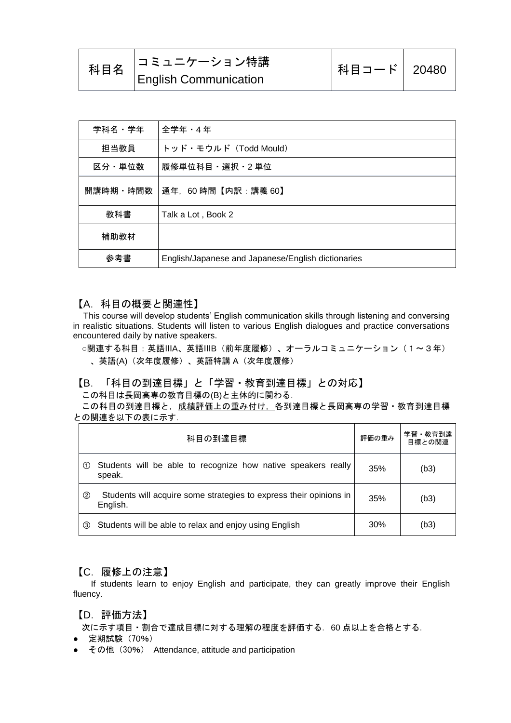|  | 科目名 │コミュニケーション特講             | │科目コード│ 20480 |  |
|--|------------------------------|---------------|--|
|  | <b>English Communication</b> |               |  |

| 学科名・学年   | 全学年 - 4年                                           |
|----------|----------------------------------------------------|
| 担当教員     | トッド・モウルド (Todd Mould)                              |
| 区分・単位数   | 履修単位科目・選択・2 単位                                     |
| 開講時期・時間数 | 通年, 60時間【内訳:講義 60】                                 |
| 教科書      | Talk a Lot, Book 2                                 |
| 補助教材     |                                                    |
| 参考書      | English/Japanese and Japanese/English dictionaries |

#### 【A.科目の概要と関連性】

This course will develop students' English communication skills through listening and conversing in realistic situations. Students will listen to various English dialogues and practice conversations encountered daily by native speakers.

○関連する科目:英語ⅢA、英語ⅢB(前年度履修)、オーラルコミュニケーション(1~3年) 、英語(A)(次年度履修)、英語特講 A(次年度履修)

#### 【B.「科目の到達目標」と「学習・教育到達目標」との対応】

この科目は長岡高専の教育目標の(B)と主体的に関わる.

この科目の到達目標と,成績評価上の重み付け,各到達目標と長岡高専の学習・教育到達目標 との関連を以下の表に示す.

|               | 科目の到達目標                                                                        | 評価の重み | 学習・教育到達<br>目標との関連 |
|---------------|--------------------------------------------------------------------------------|-------|-------------------|
| (1)           | Students will be able to recognize how native speakers really<br>speak.        | 35%   | (b3)              |
| $\circled{2}$ | Students will acquire some strategies to express their opinions in<br>English. | 35%   | (b3)              |
| $\circled{3}$ | Students will be able to relax and enjoy using English                         | 30%   | (b3)              |

#### 【C.履修上の注意】

 If students learn to enjoy English and participate, they can greatly improve their English fluency.

#### 【D.評価方法】

次に示す項目・割合で達成目標に対する理解の程度を評価する. 60 点以上を合格とする.

- 定期試験(70%)
- その他 (30%) Attendance, attitude and participation